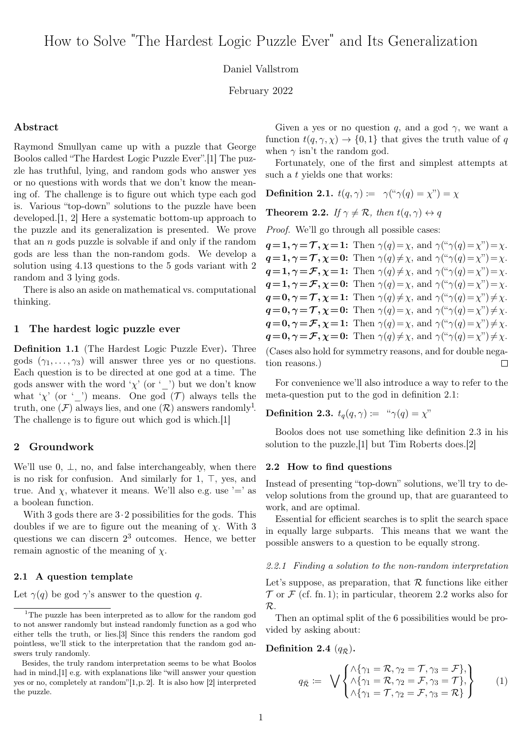## Daniel Vallstrom

February 2022

#### Abstract

Raymond Smullyan came up with a puzzle that George Boolos called "The Hardest Logic Puzzle Ever".[\[1\]](#page-6-0) The puzzle has truthful, lying, and random gods who answer yes or no questions with words that we don't know the meaning of. The challenge is to figure out which type each god is. Various "top-down" solutions to the puzzle have been developed.[\[1,](#page-6-0) [2\]](#page-6-1) Here a systematic bottom-up approach to the puzzle and its generalization is presented. We prove that an  $n$  gods puzzle is solvable if and only if the random gods are less than the non-random gods. We develop a solution using 4.13 questions to the 5 gods variant with 2 random and 3 lying gods.

There is also an aside on mathematical vs. computational thinking.

#### 1 The hardest logic puzzle ever

<span id="page-0-5"></span>Definition 1.1 (The Hardest Logic Puzzle Ever). Three gods  $(\gamma_1, \ldots, \gamma_3)$  will answer three yes or no questions. Each question is to be directed at one god at a time. The gods answer with the word ' $\chi'$  (or '\_') but we don't know what ' $\chi'$  (or '\_') means. One god ( $\mathcal{T}$ ) always tells the truth, one  $(\mathcal{F})$  always lies, and one  $(\mathcal{R})$  answers randomly<sup>[1](#page-0-0)</sup>. The challenge is to figure out which god is which.[\[1\]](#page-6-0)

## 2 Groundwork

We'll use  $0, \perp$ , no, and false interchangeably, when there is no risk for confusion. And similarly for  $1, \top$ , yes, and true. And  $\chi$ , whatever it means. We'll also e.g. use '=' as a boolean function.

With 3 gods there are  $3 \cdot 2$  possibilities for the gods. This doubles if we are to figure out the meaning of  $\chi$ . With 3 questions we can discern  $2<sup>3</sup>$  outcomes. Hence, we better remain agnostic of the meaning of  $\chi$ .

#### 2.1 A question template

Let  $\gamma(q)$  be god  $\gamma$ 's answer to the question q.

Given a yes or no question q, and a god  $\gamma$ , we want a function  $t(q, \gamma, \chi) \rightarrow \{0, 1\}$  that gives the truth value of q when  $\gamma$  isn't the random god.

Fortunately, one of the first and simplest attempts at such a t yields one that works:

<span id="page-0-1"></span>Definition 2.1.  $t(q, \gamma) := \gamma({}^{\omega} \gamma(q) = \gamma^{\gamma}) = \gamma$ 

<span id="page-0-3"></span>**Theorem 2.2.** If  $\gamma \neq \mathcal{R}$ , then  $t(q, \gamma) \leftrightarrow q$ 

Proof. We'll go through all possible cases:

 $q=1, \gamma=\mathcal{T}, \chi=1$ : Then  $\gamma(q)=\chi$ , and  $\gamma(\gamma(q)=\chi'')=\chi$ .  $q=1, \gamma=\mathcal{T}, \chi=0$ : Then  $\gamma(q)\neq\chi$ , and  $\gamma(\gamma(q)=\chi'')=\chi$ .  $q=1, \gamma = \mathcal{F}, \chi =1$ : Then  $\gamma(q) \neq \chi$ , and  $\gamma(\gamma(q) = \chi'') = \chi$ .  $q=1, \gamma = \mathcal{F}, \chi = 0$ : Then  $\gamma(q) = \chi$ , and  $\gamma(\gamma(q) = \chi'') = \chi$ .  $q=0, \gamma=\mathcal{T}, \chi=1$ : Then  $\gamma(q)\neq\chi$ , and  $\gamma(\gamma(q)=\chi'')\neq\chi$ .  $q=0, \gamma=\mathcal{T}, \chi=0$ : Then  $\gamma(q)=\chi$ , and  $\gamma(\gamma(q)=\chi'')\neq\chi$ .  $q=0, \gamma=\mathcal{F}, \chi=1$ : Then  $\gamma(q)=\chi$ , and  $\gamma(\gamma(q)=\chi'')\neq\chi$ .  $q=0, \gamma=\mathcal{F}, \chi=0$ : Then  $\gamma(q)\neq\chi$ , and  $\gamma(\gamma(q)=\chi'')\neq\chi$ .

(Cases also hold for symmetry reasons, and for double negation reasons.)  $\Box$ 

For convenience we'll also introduce a way to refer to the meta-question put to the god in definition [2.1:](#page-0-1)

# <span id="page-0-2"></span>Definition 2.3.  $t_q(q, \gamma) := \sqrt{\gamma(q)} = \chi^{\gamma}$

Boolos does not use something like definition [2.3](#page-0-2) in his solution to the puzzle,[\[1\]](#page-6-0) but Tim Roberts does.[\[2\]](#page-6-1)

#### 2.2 How to find questions

Instead of presenting "top-down" solutions, we'll try to develop solutions from the ground up, that are guaranteed to work, and are optimal.

Essential for efficient searches is to split the search space in equally large subparts. This means that we want the possible answers to a question to be equally strong.

#### 2.2.1 Finding a solution to the non-random interpretation

Let's suppose, as preparation, that  $\mathcal R$  functions like either  $\mathcal T$  or  $\mathcal F$  (cf. fn. [1\)](#page-0-0); in particular, theorem [2.2](#page-0-3) works also for R.

Then an optimal split of the 6 possibilities would be provided by asking about:

<span id="page-0-4"></span>Definition 2.4  $(q_{\bar{R}})$ .

$$
q_{\bar{\mathcal{R}}} := \sqrt{\begin{Bmatrix} \wedge \{\gamma_1 = \mathcal{R}, \gamma_2 = \mathcal{T}, \gamma_3 = \mathcal{F}\}, \\ \wedge \{\gamma_1 = \mathcal{R}, \gamma_2 = \mathcal{F}, \gamma_3 = \mathcal{T}\}, \\ \wedge \{\gamma_1 = \mathcal{T}, \gamma_2 = \mathcal{F}, \gamma_3 = \mathcal{R}\} \end{Bmatrix}} \tag{1}
$$

<span id="page-0-0"></span><sup>&</sup>lt;sup>1</sup>The puzzle has been interpreted as to allow for the random god to not answer randomly but instead randomly function as a god who either tells the truth, or lies.[\[3\]](#page-6-2) Since this renders the random god pointless, we'll stick to the interpretation that the random god answers truly randomly.

Besides, the truly random interpretation seems to be what Boolos had in mind,[\[1\]](#page-6-0) e.g. with explanations like "will answer your question yes or no, completely at random"[\[1,](#page-6-0)p. 2]. It is also how [\[2\]](#page-6-1) interpreted the puzzle.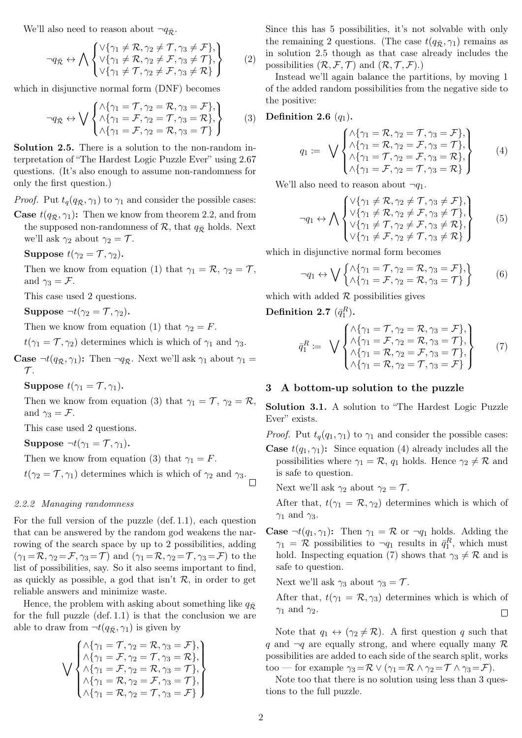We'll also need to reason about  $\neg q_{\bar{\mathcal{R}}}$ .

$$
\neg q_{\bar{\mathcal{R}}} \leftrightarrow \bigwedge \begin{Bmatrix} \vee \{ \gamma_1 \neq \mathcal{R}, \gamma_2 \neq \mathcal{T}, \gamma_3 \neq \mathcal{F} \}, \\ \vee \{ \gamma_1 \neq \mathcal{R}, \gamma_2 \neq \mathcal{F}, \gamma_3 \neq \mathcal{T} \}, \\ \vee \{ \gamma_1 \neq \mathcal{T}, \gamma_2 \neq \mathcal{F}, \gamma_3 \neq \mathcal{R} \} \end{Bmatrix} \tag{2}
$$

which in disjunctive normal form (DNF) becomes

$$
\neg q_{\bar{\mathcal{R}}} \leftrightarrow \bigvee \begin{Bmatrix} \wedge \{ \gamma_1 = \mathcal{T}, \gamma_2 = \mathcal{R}, \gamma_3 = \mathcal{F} \}, \\ \wedge \{ \gamma_1 = \mathcal{F}, \gamma_2 = \mathcal{T}, \gamma_3 = \mathcal{R} \}, \\ \wedge \{ \gamma_1 = \mathcal{F}, \gamma_2 = \mathcal{R}, \gamma_3 = \mathcal{T} \} \end{Bmatrix} \tag{3}
$$

<span id="page-1-1"></span>Solution 2.5. There is a solution to the non-random interpretation of "The Hardest Logic Puzzle Ever" using 2.67 questions. (It's also enough to assume non-randomness for only the first question.)

*Proof.* Put  $t_q(q_{\bar{R}}, \gamma_1)$  to  $\gamma_1$  and consider the possible cases:

**Case**  $t(q_{\bar{R}}, \gamma_1)$ : Then we know from theorem [2.2,](#page-0-3) and from the supposed non-randomness of  $\mathcal{R}$ , that  $q_{\bar{\mathcal{R}}}$  holds. Next we'll ask  $\gamma_2$  about  $\gamma_2 = \mathcal{T}$ .

Suppose 
$$
t(\gamma_2 = \mathcal{T}, \gamma_2)
$$
.

Then we know from equation [\(1\)](#page-0-4) that  $\gamma_1 = \mathcal{R}, \gamma_2 = \mathcal{T},$ and  $\gamma_3 = \mathcal{F}$ .

This case used 2 questions.

Suppose  $\neg t(\gamma_2 = \mathcal{T}, \gamma_2)$ .

Then we know from equation [\(1\)](#page-0-4) that  $\gamma_2 = F$ .

 $t(\gamma_1 = \mathcal{T}, \gamma_2)$  determines which is which of  $\gamma_1$  and  $\gamma_3$ .

**Case**  $\neg t(q_{\bar{\mathcal{R}}}, \gamma_1)$ : Then  $\neg q_{\bar{\mathcal{R}}}$ . Next we'll ask  $\gamma_1$  about  $\gamma_1$  =  $\mathcal{T}$ .

Suppose  $t(\gamma_1 = \mathcal{T}, \gamma_1)$ .

Then we know from equation [\(3\)](#page-1-0) that  $\gamma_1 = \mathcal{T}, \gamma_2 = \mathcal{R},$ and  $\gamma_3 = \mathcal{F}$ .

This case used 2 questions.

Suppose  $\neg t(\gamma_1 = \mathcal{T}, \gamma_1)$ .

Then we know from equation [\(3\)](#page-1-0) that  $\gamma_1 = F$ .

 $t(\gamma_2 = \mathcal{T}, \gamma_1)$  determines which is which of  $\gamma_2$  and  $\gamma_3$ .

#### 2.2.2 Managing randomness

For the full version of the puzzle (def. [1.1\)](#page-0-5), each question that can be answered by the random god weakens the narrowing of the search space by up to 2 possibilities, adding  $(\gamma_1 = \mathcal{R}, \gamma_2 = \mathcal{F}, \gamma_3 = \mathcal{T})$  and  $(\gamma_1 = \mathcal{R}, \gamma_2 = \mathcal{T}, \gamma_3 = \mathcal{F})$  to the list of possibilities, say. So it also seems important to find, as quickly as possible, a god that isn't  $\mathcal{R}$ , in order to get reliable answers and minimize waste.

Hence, the problem with asking about something like  $q_{\bar{p}}$ for the full puzzle (def. [1.1\)](#page-0-5) is that the conclusion we are able to draw from  $\neg t(q_{\bar{\mathcal{R}}}, \gamma_1)$  is given by

$$
\bigvee \begin{pmatrix}\n\lambda \{\gamma_1 = \mathcal{T}, \gamma_2 = \mathcal{R}, \gamma_3 = \mathcal{F}\}, \\
\lambda \{\gamma_1 = \mathcal{F}, \gamma_2 = \mathcal{T}, \gamma_3 = \mathcal{R}\}, \\
\lambda \{\gamma_1 = \mathcal{F}, \gamma_2 = \mathcal{R}, \gamma_3 = \mathcal{T}\}, \\
\lambda \{\gamma_1 = \mathcal{R}, \gamma_2 = \mathcal{F}, \gamma_3 = \mathcal{T}\}, \\
\lambda \{\gamma_1 = \mathcal{R}, \gamma_2 = \mathcal{T}, \gamma_3 = \mathcal{F}\}\n\end{pmatrix}
$$

Since this has 5 possibilities, it's not solvable with only the remaining 2 questions. (The case  $t(q_{\bar{R}}, \gamma_1)$  remains as in solution [2.5](#page-1-1) though as that case already includes the possibilities  $(\mathcal{R}, \mathcal{F}, \mathcal{T})$  and  $(\mathcal{R}, \mathcal{T}, \mathcal{F})$ .

<span id="page-1-0"></span>Instead we'll again balance the partitions, by moving 1 of the added random possibilities from the negative side to the positive:

#### <span id="page-1-2"></span>Definition 2.6  $(q_1)$ .

$$
q_1 := \sqrt{\begin{cases} \wedge \{\gamma_1 = \mathcal{R}, \gamma_2 = \mathcal{T}, \gamma_3 = \mathcal{F}\}, \\ \wedge \{\gamma_1 = \mathcal{R}, \gamma_2 = \mathcal{F}, \gamma_3 = \mathcal{T}\}, \\ \wedge \{\gamma_1 = \mathcal{T}, \gamma_2 = \mathcal{F}, \gamma_3 = \mathcal{R}\}, \\ \wedge \{\gamma_1 = \mathcal{F}, \gamma_2 = \mathcal{T}, \gamma_3 = \mathcal{R}\} \end{cases} (4)
$$

We'll also need to reason about  $\neg q_1$ .

$$
\neg q_1 \leftrightarrow \bigwedge \begin{cases} \vee \{ \gamma_1 \neq \mathcal{R}, \gamma_2 \neq \mathcal{T}, \gamma_3 \neq \mathcal{F} \}, \\ \vee \{ \gamma_1 \neq \mathcal{R}, \gamma_2 \neq \mathcal{F}, \gamma_3 \neq \mathcal{T} \}, \\ \vee \{ \gamma_1 \neq \mathcal{T}, \gamma_2 \neq \mathcal{F}, \gamma_3 \neq \mathcal{R} \}, \\ \vee \{ \gamma_1 \neq \mathcal{F}, \gamma_2 \neq \mathcal{T}, \gamma_3 \neq \mathcal{R} \} \end{cases} \tag{5}
$$

which in disjunctive normal form becomes

$$
\neg q_1 \leftrightarrow \bigvee \left\{ \begin{matrix} \wedge \{ \gamma_1 = \mathcal{T}, \gamma_2 = \mathcal{R}, \gamma_3 = \mathcal{F} \}, \\ \wedge \{ \gamma_1 = \mathcal{F}, \gamma_2 = \mathcal{R}, \gamma_3 = \mathcal{T} \} \end{matrix} \right\} \tag{6}
$$

which with added  $R$  possibilities gives

<span id="page-1-3"></span>Definition 2.7  $(\bar q_1^R).$ 

$$
\bar{q}_1^R := \sqrt{\begin{cases}\n\lambda \{\gamma_1 = \mathcal{T}, \gamma_2 = \mathcal{R}, \gamma_3 = \mathcal{F}\}, \\
\lambda \{\gamma_1 = \mathcal{F}, \gamma_2 = \mathcal{R}, \gamma_3 = \mathcal{T}\}, \\
\lambda \{\gamma_1 = \mathcal{R}, \gamma_2 = \mathcal{F}, \gamma_3 = \mathcal{T}\}, \\
\lambda \{\gamma_1 = \mathcal{R}, \gamma_2 = \mathcal{T}, \gamma_3 = \mathcal{F}\}\n\end{cases}
$$
\n(7)

## 3 A bottom-up solution to the puzzle

Solution 3.1. A solution to "The Hardest Logic Puzzle Ever" exists.

*Proof.* Put  $t_q(q_1, \gamma_1)$  to  $\gamma_1$  and consider the possible cases: **Case**  $t(q_1, \gamma_1)$ : Since equation [\(4\)](#page-1-2) already includes all the possibilities where  $\gamma_1 = \mathcal{R}$ ,  $q_1$  holds. Hence  $\gamma_2 \neq \mathcal{R}$  and is safe to question.

Next we'll ask  $\gamma_2$  about  $\gamma_2 = \mathcal{T}$ .

After that,  $t(\gamma_1 = \mathcal{R}, \gamma_2)$  determines which is which of  $\gamma_1$  and  $\gamma_3$ .

**Case**  $\neg t(q_1, \gamma_1)$ : Then  $\gamma_1 = \mathcal{R}$  or  $\neg q_1$  holds. Adding the  $\gamma_1 = \mathcal{R}$  possibilities to  $\neg q_1$  results in  $\bar{q}_1^R$ , which must hold. Inspecting equation [\(7\)](#page-1-3) shows that  $\gamma_3 \neq \mathcal{R}$  and is safe to question.

Next we'll ask  $\gamma_3$  about  $\gamma_3 = \mathcal{T}$ .

After that,  $t(\gamma_1 = \mathcal{R}, \gamma_3)$  determines which is which of  $\gamma_1$  and  $\gamma_2$ .  $\Box$ 

Note that  $q_1 \leftrightarrow (\gamma_2 \neq \mathcal{R})$ . A first question q such that q and  $\neg q$  are equally strong, and where equally many R possibilities are added to each side of the search split, works too — for example  $\gamma_3 = \mathcal{R} \vee (\gamma_1 = \mathcal{R} \wedge \gamma_2 = \mathcal{T} \wedge \gamma_3 = \mathcal{F}).$ 

<span id="page-1-4"></span>Note too that there is no solution using less than 3 questions to the full puzzle.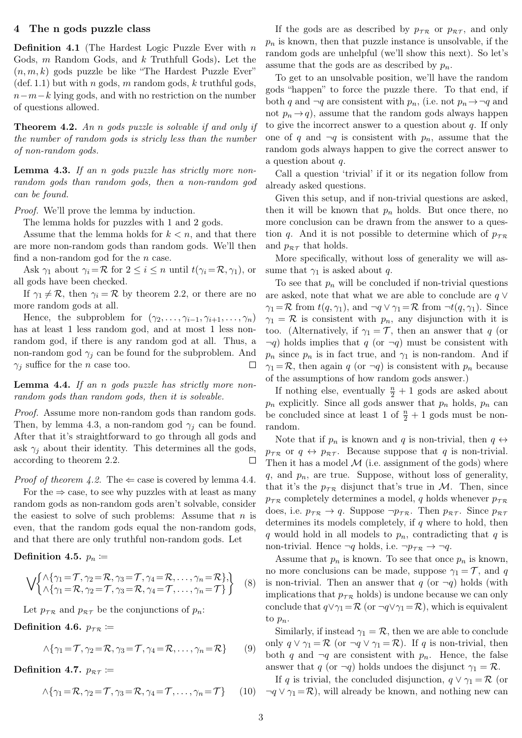# 4 The n gods puzzle class

**Definition 4.1** (The Hardest Logic Puzzle Ever with  $n$ Gods, m Random Gods, and k Truthfull Gods). Let the  $(n, m, k)$  gods puzzle be like "The Hardest Puzzle Ever"  $(\text{def. } 1.1)$  $(\text{def. } 1.1)$  but with *n* gods, *m* random gods, *k* truthful gods,  $n-m-k$  lying gods, and with no restriction on the number of questions allowed.

<span id="page-2-1"></span>Theorem 4.2. An n gods puzzle is solvable if and only if the number of random gods is stricly less than the number of non-random gods.

<span id="page-2-0"></span>Lemma 4.3. If an n gods puzzle has strictly more nonrandom gods than random gods, then a non-random god can be found.

Proof. We'll prove the lemma by induction.

The lemma holds for puzzles with 1 and 2 gods.

Assume that the lemma holds for  $k < n$ , and that there are more non-random gods than random gods. We'll then find a non-random god for the  $n$  case.

Ask  $\gamma_1$  about  $\gamma_i = \mathcal{R}$  for  $2 \leq i \leq n$  until  $t(\gamma_i = \mathcal{R}, \gamma_1)$ , or all gods have been checked.

If  $\gamma_1 \neq \mathcal{R}$ , then  $\gamma_i = \mathcal{R}$  by theorem [2.2,](#page-0-3) or there are no more random gods at all.

Hence, the subproblem for  $(\gamma_2, \ldots, \gamma_{i-1}, \gamma_{i+1}, \ldots, \gamma_n)$ has at least 1 less random god, and at most 1 less nonrandom god, if there is any random god at all. Thus, a non-random god  $\gamma_i$  can be found for the subproblem. And  $\gamma_i$  suffice for the *n* case too.  $\Box$ 

## <span id="page-2-2"></span>Lemma 4.4. If an n gods puzzle has strictly more nonrandom gods than random gods, then it is solvable.

Proof. Assume more non-random gods than random gods. Then, by lemma [4.3,](#page-2-0) a non-random god  $\gamma_i$  can be found. After that it's straightforward to go through all gods and ask  $\gamma_i$  about their identity. This determines all the gods, according to theorem [2.2.](#page-0-3) Ц

*Proof of theorem [4.2.](#page-2-1)* The  $\Leftarrow$  case is covered by lemma [4.4.](#page-2-2) For the  $\Rightarrow$  case, to see why puzzles with at least as many random gods as non-random gods aren't solvable, consider the easiest to solve of such problems: Assume that  $n$  is even, that the random gods equal the non-random gods, and that there are only truthful non-random gods. Let

<span id="page-2-4"></span>Definition 4.5.  $p_n \coloneqq$ 

<span id="page-2-3"></span>
$$
\bigvee \begin{Bmatrix} \wedge \{\gamma_1 = \mathcal{T}, \gamma_2 = \mathcal{R}, \gamma_3 = \mathcal{T}, \gamma_4 = \mathcal{R}, \dots, \gamma_n = \mathcal{R} \}, \\ \wedge \{\gamma_1 = \mathcal{R}, \gamma_2 = \mathcal{T}, \gamma_3 = \mathcal{R}, \gamma_4 = \mathcal{T}, \dots, \gamma_n = \mathcal{T} \} \end{Bmatrix} \tag{8}
$$

Let  $p_{\tau R}$  and  $p_{\tau T}$  be the conjunctions of  $p_n$ :

Definition 4.6.  $p_{\tau R} \coloneqq$ 

$$
\wedge \{\gamma_1 = \mathcal{T}, \gamma_2 = \mathcal{R}, \gamma_3 = \mathcal{T}, \gamma_4 = \mathcal{R}, \dots, \gamma_n = \mathcal{R}\}\qquad(9)
$$

Definition 4.7.  $p_{\mathcal{RT}} \coloneqq$ 

$$
\wedge \{\gamma_1 = \mathcal{R}, \gamma_2 = \mathcal{T}, \gamma_3 = \mathcal{R}, \gamma_4 = \mathcal{T}, \dots, \gamma_n = \mathcal{T}\}\qquad(10)
$$

If the gods are as described by  $p_{\tau \mathcal{R}}$  or  $p_{\mathcal{R} \tau}$ , and only  $p_n$  is known, then that puzzle instance is unsolvable, if the random gods are unhelpful (we'll show this next). So let's assume that the gods are as described by  $p_n$ .

To get to an unsolvable position, we'll have the random gods "happen" to force the puzzle there. To that end, if both q and  $\neg q$  are consistent with  $p_n$ , (i.e. not  $p_n \rightarrow \neg q$  and not  $p_n \to q$ , assume that the random gods always happen to give the incorrect answer to a question about  $q$ . If only one of q and  $\neg q$  is consistent with  $p_n$ , assume that the random gods always happen to give the correct answer to a question about q.

Call a question 'trivial' if it or its negation follow from already asked questions.

Given this setup, and if non-trivial questions are asked, then it will be known that  $p_n$  holds. But once there, no more conclusion can be drawn from the answer to a question q. And it is not possible to determine which of  $p_{\tau R}$ and  $p_{\mathcal{R}\mathcal{T}}$  that holds.

More specifically, without loss of generality we will assume that  $\gamma_1$  is asked about q.

To see that  $p_n$  will be concluded if non-trivial questions are asked, note that what we are able to conclude are  $q \vee$  $\gamma_1 = \mathcal{R}$  from  $t(q, \gamma_1)$ , and  $\neg q \lor \gamma_1 = \mathcal{R}$  from  $\neg t(q, \gamma_1)$ . Since  $\gamma_1 = \mathcal{R}$  is consistent with  $p_n$ , any disjunction with it is too. (Alternatively, if  $\gamma_1 = \mathcal{T}$ , then an answer that q (or  $\neg q$ ) holds implies that q (or  $\neg q$ ) must be consistent with  $p_n$  since  $p_n$  is in fact true, and  $\gamma_1$  is non-random. And if  $\gamma_1 = \mathcal{R}$ , then again q (or  $\neg q$ ) is consistent with  $p_n$  because of the assumptions of how random gods answer.)

If nothing else, eventually  $\frac{n}{2} + 1$  gods are asked about  $p_n$  explicitly. Since all gods answer that  $p_n$  holds,  $p_n$  can be concluded since at least 1 of  $\frac{n}{2} + 1$  gods must be nonrandom.

Note that if  $p_n$  is known and q is non-trivial, then  $q \leftrightarrow$  $p_{\tau \mathcal{R}}$  or  $q \leftrightarrow p_{\mathcal{R} \tau}$ . Because suppose that q is non-trivial. Then it has a model  $M$  (i.e. assignment of the gods) where  $q$ , and  $p_n$ , are true. Suppose, without loss of generality, that it's the  $p_{\tau R}$  disjunct that's true in M. Then, since  $p_{\tau \mathcal{R}}$  completely determines a model, q holds whenever  $p_{\tau \mathcal{R}}$ does, i.e.  $p_{\tau \mathcal{R}} \to q$ . Suppose  $\neg p_{\tau \mathcal{R}}$ . Then  $p_{\mathcal{R} \tau}$ . Since  $p_{\mathcal{R} \tau}$ determines its models completely, if  $q$  where to hold, then q would hold in all models to  $p_n$ , contradicting that q is non-trivial. Hence  $\neg q$  holds, i.e.  $\neg p_{\tau \mathcal{R}} \to \neg q$ .

Assume that  $p_n$  is known. To see that once  $p_n$  is known, no more conclusions can be made, suppose  $\gamma_1 = \mathcal{T}$ , and q is non-trivial. Then an answer that q (or  $\neg q$ ) holds (with implications that  $p_{\mathcal{T}R}$  holds) is undone because we can only conclude that  $q \vee \gamma_1 = \mathcal{R}$  (or  $\neg q \vee \gamma_1 = \mathcal{R}$ ), which is equivalent to  $p_n$ .

Similarly, if instead  $\gamma_1 = \mathcal{R}$ , then we are able to conclude only  $q \vee \gamma_1 = \mathcal{R}$  (or  $\neg q \vee \gamma_1 = \mathcal{R}$ ). If q is non-trivial, then both q and  $\neg q$  are consistent with  $p_n$ . Hence, the false answer that q (or  $\neg q$ ) holds undoes the disjunct  $\gamma_1 = \mathcal{R}$ .

If q is trivial, the concluded disjunction,  $q \vee \gamma_1 = \mathcal{R}$  (or  $\eta \to \eta \lor \gamma_1 = \mathcal{R}$ , will already be known, and nothing new can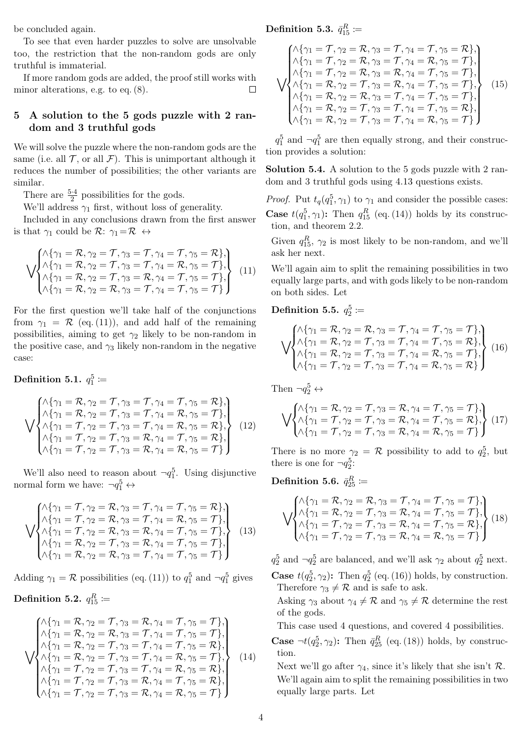be concluded again.

To see that even harder puzzles to solve are unsolvable too, the restriction that the non-random gods are only truthful is immaterial.

If more random gods are added, the proof still works with minor alterations, e.g. to eq. [\(8\)](#page-2-3).  $\Box$ 

# 5 A solution to the 5 gods puzzle with 2 random and 3 truthful gods

We will solve the puzzle where the non-random gods are the same (i.e. all  $\mathcal T$ , or all  $\mathcal F$ ). This is unimportant although it reduces the number of possibilities; the other variants are similar.

There are  $\frac{5\cdot 4}{2}$  possibilities for the gods.

We'll address  $\gamma_1$  first, without loss of generality.

Included in any conclusions drawn from the first answer is that  $\gamma_1$  could be  $\mathcal{R}$ :  $\gamma_1 = \mathcal{R} \leftrightarrow$ 

$$
\bigvee \begin{pmatrix}\n\lambda \{\gamma_1 = \mathcal{R}, \gamma_2 = \mathcal{T}, \gamma_3 = \mathcal{T}, \gamma_4 = \mathcal{T}, \gamma_5 = \mathcal{R}\}, \\
\lambda \{\gamma_1 = \mathcal{R}, \gamma_2 = \mathcal{T}, \gamma_3 = \mathcal{T}, \gamma_4 = \mathcal{R}, \gamma_5 = \mathcal{T}\}, \\
\lambda \{\gamma_1 = \mathcal{R}, \gamma_2 = \mathcal{T}, \gamma_3 = \mathcal{R}, \gamma_4 = \mathcal{T}, \gamma_5 = \mathcal{T}\}, \\
\lambda \{\gamma_1 = \mathcal{R}, \gamma_2 = \mathcal{R}, \gamma_3 = \mathcal{T}, \gamma_4 = \mathcal{T}, \gamma_5 = \mathcal{T}\}\n\end{pmatrix}
$$
\n(11)

For the first question we'll take half of the conjunctions from  $\gamma_1 = \mathcal{R}$  (eq. [\(11\)](#page-3-0)), and add half of the remaining possibilities, aiming to get  $\gamma_2$  likely to be non-random in the positive case, and  $\gamma_3$  likely non-random in the negative case:

Definition 5.1.  $q_1^5 \coloneqq$ 

$$
\begin{Bmatrix}\n\lambda \{\gamma_1 = \mathcal{R}, \gamma_2 = \mathcal{T}, \gamma_3 = \mathcal{T}, \gamma_4 = \mathcal{T}, \gamma_5 = \mathcal{R}\}, \\
\lambda \{\gamma_1 = \mathcal{R}, \gamma_2 = \mathcal{T}, \gamma_3 = \mathcal{T}, \gamma_4 = \mathcal{R}, \gamma_5 = \mathcal{T}\}, \\
\lambda \{\gamma_1 = \mathcal{T}, \gamma_2 = \mathcal{T}, \gamma_3 = \mathcal{T}, \gamma_4 = \mathcal{R}, \gamma_5 = \mathcal{R}\}, \\
\lambda \{\gamma_1 = \mathcal{T}, \gamma_2 = \mathcal{T}, \gamma_3 = \mathcal{R}, \gamma_4 = \mathcal{T}, \gamma_5 = \mathcal{R}\}, \\
\lambda \{\gamma_1 = \mathcal{T}, \gamma_2 = \mathcal{T}, \gamma_3 = \mathcal{R}, \gamma_4 = \mathcal{R}, \gamma_5 = \mathcal{T}\}\n\end{Bmatrix}
$$
\n(12)

We'll also need to reason about  $\neg q_1^5$ . Using disjunctive normal form we have:  $\neg q_1^5 \leftrightarrow$ 

$$
\sqrt{\begin{matrix}\n\lambda \{\gamma_1 = \mathcal{T}, \gamma_2 = \mathcal{R}, \gamma_3 = \mathcal{T}, \gamma_4 = \mathcal{T}, \gamma_5 = \mathcal{R}\}, \\
\lambda \{\gamma_1 = \mathcal{T}, \gamma_2 = \mathcal{R}, \gamma_3 = \mathcal{T}, \gamma_4 = \mathcal{R}, \gamma_5 = \mathcal{T}\}, \\
\lambda \{\gamma_1 = \mathcal{T}, \gamma_2 = \mathcal{R}, \gamma_3 = \mathcal{R}, \gamma_4 = \mathcal{T}, \gamma_5 = \mathcal{T}\}, \\
\lambda \{\gamma_1 = \mathcal{R}, \gamma_2 = \mathcal{T}, \gamma_3 = \mathcal{R}, \gamma_4 = \mathcal{T}, \gamma_5 = \mathcal{T}\}, \\
\lambda \{\gamma_1 = \mathcal{R}, \gamma_2 = \mathcal{R}, \gamma_3 = \mathcal{T}, \gamma_4 = \mathcal{T}, \gamma_5 = \mathcal{T}\}\n\end{matrix}
$$
\n(13)

Adding  $\gamma_1 = \mathcal{R}$  possibilities (eq. [\(11\)](#page-3-0)) to  $q_1^5$  and  $\neg q_1^5$  gives

Definition 5.2. 
$$
q_{15}^R \coloneqq
$$

<span id="page-3-1"></span>
$$
\sqrt{\begin{matrix}\n\lambda_{11} = \mathcal{R}, \gamma_{2} = \mathcal{T}, \gamma_{3} = \mathcal{R}, \gamma_{4} = \mathcal{T}, \gamma_{5} = \mathcal{T} \}, \\
\lambda_{11} = \mathcal{R}, \gamma_{2} = \mathcal{R}, \gamma_{3} = \mathcal{T}, \gamma_{4} = \mathcal{T}, \gamma_{5} = \mathcal{T} \}, \\
\lambda_{12} = \mathcal{R}, \gamma_{2} = \mathcal{T}, \gamma_{3} = \mathcal{T}, \gamma_{4} = \mathcal{T}, \gamma_{5} = \mathcal{R} \}, \\
\lambda_{13} = \mathcal{R}, \gamma_{2} = \mathcal{T}, \gamma_{3} = \mathcal{T}, \gamma_{4} = \mathcal{R}, \gamma_{5} = \mathcal{T} \}, \\
\lambda_{14} = \mathcal{R}, \gamma_{1} = \mathcal{R}, \gamma_{2} = \mathcal{T}, \gamma_{3} = \mathcal{T}, \gamma_{4} = \mathcal{R}, \gamma_{5} = \mathcal{R} \}, \\
\lambda_{13} = \mathcal{R}, \gamma_{12} = \mathcal{R}, \gamma_{13} = \mathcal{R}, \gamma_{4} = \mathcal{R}, \gamma_{5} = \mathcal{R} \}, \\
\lambda_{14} = \mathcal{R}, \gamma_{2} = \mathcal{R}, \gamma_{3} = \mathcal{R}, \gamma_{4} = \mathcal{R}, \gamma_{5} = \mathcal{R} \},\n\end{matrix}
$$
\n(14)

Definition 5.3.  $\bar{q}_{15}^R \coloneqq$ 

<span id="page-3-4"></span>
$$
\begin{cases}\n\lambda \{\gamma_1 = \mathcal{T}, \gamma_2 = \mathcal{R}, \gamma_3 = \mathcal{T}, \gamma_4 = \mathcal{T}, \gamma_5 = \mathcal{R}\}, \\
\lambda \{\gamma_1 = \mathcal{T}, \gamma_2 = \mathcal{R}, \gamma_3 = \mathcal{T}, \gamma_4 = \mathcal{R}, \gamma_5 = \mathcal{T}\}, \\
\lambda \{\gamma_1 = \mathcal{T}, \gamma_2 = \mathcal{R}, \gamma_3 = \mathcal{R}, \gamma_4 = \mathcal{T}, \gamma_5 = \mathcal{T}\}, \\
\lambda \{\gamma_1 = \mathcal{R}, \gamma_2 = \mathcal{T}, \gamma_3 = \mathcal{R}, \gamma_4 = \mathcal{T}, \gamma_5 = \mathcal{T}\}, \\
\lambda \{\gamma_1 = \mathcal{R}, \gamma_2 = \mathcal{R}, \gamma_3 = \mathcal{T}, \gamma_4 = \mathcal{T}, \gamma_5 = \mathcal{T}\}, \\
\lambda \{\gamma_1 = \mathcal{R}, \gamma_2 = \mathcal{T}, \gamma_3 = \mathcal{T}, \gamma_4 = \mathcal{T}, \gamma_5 = \mathcal{R}\}, \\
\lambda \{\gamma_1 = \mathcal{R}, \gamma_2 = \mathcal{T}, \gamma_3 = \mathcal{T}, \gamma_4 = \mathcal{R}, \gamma_5 = \mathcal{T}\}\n\end{cases}
$$
\n(15)

 $q_1^5$  and  $\neg q_1^5$  are then equally strong, and their construction provides a solution:

Solution 5.4. A solution to the 5 gods puzzle with 2 random and 3 truthful gods using 4.13 questions exists.

<span id="page-3-0"></span>*Proof.* Put  $t_q(q_1^5, \gamma_1)$  to  $\gamma_1$  and consider the possible cases: **Case**  $t(q_1^5, \gamma_1)$ : Then  $q_{15}^R$  (eq. [\(14\)](#page-3-1)) holds by its construction, and theorem [2.2.](#page-0-3)

Given  $q_{15}^R$ ,  $\gamma_2$  is most likely to be non-random, and we'll ask her next.

We'll again aim to split the remaining possibilities in two equally large parts, and with gods likely to be non-random on both sides. Let

Definition 5.5.  $q_2^5 \coloneqq$ 

<span id="page-3-2"></span>
$$
\bigvee \begin{cases}\n\lambda \{\gamma_1 = \mathcal{R}, \gamma_2 = \mathcal{R}, \gamma_3 = \mathcal{T}, \gamma_4 = \mathcal{T}, \gamma_5 = \mathcal{T}\}, \\
\lambda \{\gamma_1 = \mathcal{R}, \gamma_2 = \mathcal{T}, \gamma_3 = \mathcal{T}, \gamma_4 = \mathcal{T}, \gamma_5 = \mathcal{R}\}, \\
\lambda \{\gamma_1 = \mathcal{R}, \gamma_2 = \mathcal{T}, \gamma_3 = \mathcal{T}, \gamma_4 = \mathcal{R}, \gamma_5 = \mathcal{T}\}, \\
\lambda \{\gamma_1 = \mathcal{T}, \gamma_2 = \mathcal{T}, \gamma_3 = \mathcal{T}, \gamma_4 = \mathcal{R}, \gamma_5 = \mathcal{R}\}\n\end{cases}\n\tag{16}
$$

Then  $\neg q_2^5 \leftrightarrow$ 

$$
\bigvee \begin{cases}\n\wedge \{\gamma_1 = \mathcal{R}, \gamma_2 = \mathcal{T}, \gamma_3 = \mathcal{R}, \gamma_4 = \mathcal{T}, \gamma_5 = \mathcal{T}\}, \\
\wedge \{\gamma_1 = \mathcal{T}, \gamma_2 = \mathcal{T}, \gamma_3 = \mathcal{R}, \gamma_4 = \mathcal{T}, \gamma_5 = \mathcal{R}\}, \\
\wedge \{\gamma_1 = \mathcal{T}, \gamma_2 = \mathcal{T}, \gamma_3 = \mathcal{R}, \gamma_4 = \mathcal{R}, \gamma_5 = \mathcal{T}\}\n\end{cases}\n\tag{17}
$$

There is no more  $\gamma_2 = \mathcal{R}$  possibility to add to  $q_2^5$ , but there is one for  $\neg q_2^5$ :

Definition 5.6.  $\bar{q}_{25}^R \coloneqq$ 

<span id="page-3-3"></span>
$$
\bigvee \begin{pmatrix}\n\lambda \{\gamma_1 = \mathcal{R}, \gamma_2 = \mathcal{R}, \gamma_3 = \mathcal{T}, \gamma_4 = \mathcal{T}, \gamma_5 = \mathcal{T}\}, \\
\lambda \{\gamma_1 = \mathcal{R}, \gamma_2 = \mathcal{T}, \gamma_3 = \mathcal{R}, \gamma_4 = \mathcal{T}, \gamma_5 = \mathcal{T}\}, \\
\lambda \{\gamma_1 = \mathcal{T}, \gamma_2 = \mathcal{T}, \gamma_3 = \mathcal{R}, \gamma_4 = \mathcal{T}, \gamma_5 = \mathcal{R}\}, \\
\lambda \{\gamma_1 = \mathcal{T}, \gamma_2 = \mathcal{T}, \gamma_3 = \mathcal{R}, \gamma_4 = \mathcal{R}, \gamma_5 = \mathcal{T}\}\n\end{pmatrix}
$$
\n(18)

 $q_2^5$  and  $\neg q_2^5$  are balanced, and we'll ask  $\gamma_2$  about  $q_2^5$  next. **Case**  $t(q_2^5, \gamma_2)$ : Then  $q_2^5$  (eq. [\(16\)](#page-3-2)) holds, by construction. Therefore  $\gamma_3 \neq \mathcal{R}$  and is safe to ask.

Asking  $\gamma_3$  about  $\gamma_4 \neq \mathcal{R}$  and  $\gamma_5 \neq \mathcal{R}$  determine the rest of the gods.

This case used 4 questions, and covered 4 possibilities.

**Case**  $\neg t(q_2^5, \gamma_2)$ : Then  $\bar{q}_{25}^R$  (eq. [\(18\)](#page-3-3)) holds, by construction.

Next we'll go after  $\gamma_4$ , since it's likely that she isn't  $\mathcal{R}$ . We'll again aim to split the remaining possibilities in two equally large parts. Let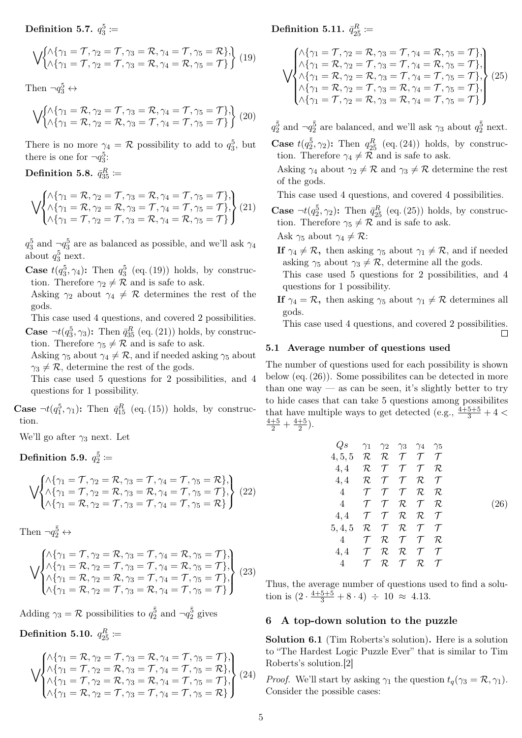<span id="page-4-0"></span>
$$
\bigvee \{\begin{aligned}\n\bigwedge \{\gamma_1 = \mathcal{T}, \gamma_2 = \mathcal{T}, \gamma_3 = \mathcal{R}, \gamma_4 = \mathcal{T}, \gamma_5 = \mathcal{R}\}, \\
\bigwedge \{\gamma_1 = \mathcal{T}, \gamma_2 = \mathcal{T}, \gamma_3 = \mathcal{R}, \gamma_4 = \mathcal{R}, \gamma_5 = \mathcal{T}\}\n\end{aligned}\n\right\} (19)
$$

Then  $\neg q_3^5 \leftrightarrow$ 

$$
\bigvee \begin{cases}\n\bigwedge \{\gamma_1 = \mathcal{R}, \gamma_2 = \mathcal{T}, \gamma_3 = \mathcal{R}, \gamma_4 = \mathcal{T}, \gamma_5 = \mathcal{T}\}, \\
\bigwedge \{\gamma_1 = \mathcal{R}, \gamma_2 = \mathcal{R}, \gamma_3 = \mathcal{T}, \gamma_4 = \mathcal{T}, \gamma_5 = \mathcal{T}\}\n\end{cases}\n\tag{20}
$$

There is no more  $\gamma_4 = \mathcal{R}$  possibility to add to  $q_3^5$ , but there is one for  $\neg q_3^5$ :

Definition 5.8.  $\bar q_{35}^R \coloneqq$ 

<span id="page-4-1"></span>
$$
\bigvee \begin{cases}\n\wedge \{\gamma_1 = \mathcal{R}, \gamma_2 = \mathcal{T}, \gamma_3 = \mathcal{R}, \gamma_4 = \mathcal{T}, \gamma_5 = \mathcal{T}\}, \\
\wedge \{\gamma_1 = \mathcal{R}, \gamma_2 = \mathcal{R}, \gamma_3 = \mathcal{T}, \gamma_4 = \mathcal{T}, \gamma_5 = \mathcal{T}\}, \\
\wedge \{\gamma_1 = \mathcal{T}, \gamma_2 = \mathcal{T}, \gamma_3 = \mathcal{R}, \gamma_4 = \mathcal{R}, \gamma_5 = \mathcal{T}\}\n\end{cases}\n\tag{21}
$$

 $q_3^5$  and  $-q_3^5$  are as balanced as possible, and we'll ask  $\gamma_4$ about  $q_3^5$  next.

**Case**  $t(q_3^5, \gamma_4)$ : Then  $q_3^5$  (eq. [\(19\)](#page-4-0)) holds, by construction. Therefore  $\gamma_2 \neq \mathcal{R}$  and is safe to ask.

Asking  $\gamma_2$  about  $\gamma_4 \neq \mathcal{R}$  determines the rest of the gods.

This case used 4 questions, and covered 2 possibilities. **Case**  $\neg t(q_3^5, \gamma_3)$ : Then  $\bar{q}_{35}^R$  (eq. [\(21\)](#page-4-1)) holds, by construction. Therefore  $\gamma_5 \neq \mathcal{R}$  and is safe to ask.

Asking  $\gamma_5$  about  $\gamma_4 \neq \mathcal{R}$ , and if needed asking  $\gamma_5$  about  $\gamma_3 \neq \mathcal{R}$ , determine the rest of the gods.

This case used 5 questions for 2 possibilities, and 4 questions for 1 possibility.

**Case**  $\neg t(q_1^5, \gamma_1)$ : Then  $\bar{q}_{15}^R$  (eq. [\(15\)](#page-3-4)) holds, by construction.

We'll go after  $\gamma_3$  next. Let

Definition 5.9.  $q_2^{\bar{5}} \coloneqq$ 

$$
\bigvee \begin{cases}\n\bigwedge \{\gamma_1 = \mathcal{T}, \gamma_2 = \mathcal{R}, \gamma_3 = \mathcal{T}, \gamma_4 = \mathcal{T}, \gamma_5 = \mathcal{R}\}, \\
\bigwedge \{\gamma_1 = \mathcal{T}, \gamma_2 = \mathcal{R}, \gamma_3 = \mathcal{R}, \gamma_4 = \mathcal{T}, \gamma_5 = \mathcal{T}\}, \\
\bigwedge \{\gamma_1 = \mathcal{R}, \gamma_2 = \mathcal{T}, \gamma_3 = \mathcal{T}, \gamma_4 = \mathcal{T}, \gamma_5 = \mathcal{R}\}\n\end{cases}\n\bigg\} (22)
$$

Then 
$$
\neg q_2^{\bar{5}} \leftrightarrow
$$

$$
\bigvee \begin{pmatrix}\n\wedge \{\gamma_1 = \mathcal{T}, \gamma_2 = \mathcal{R}, \gamma_3 = \mathcal{T}, \gamma_4 = \mathcal{R}, \gamma_5 = \mathcal{T}\}, \\
\wedge \{\gamma_1 = \mathcal{R}, \gamma_2 = \mathcal{T}, \gamma_3 = \mathcal{T}, \gamma_4 = \mathcal{R}, \gamma_5 = \mathcal{T}\}, \\
\wedge \{\gamma_1 = \mathcal{R}, \gamma_2 = \mathcal{R}, \gamma_3 = \mathcal{T}, \gamma_4 = \mathcal{T}, \gamma_5 = \mathcal{T}\}, \\
\wedge \{\gamma_1 = \mathcal{R}, \gamma_2 = \mathcal{T}, \gamma_3 = \mathcal{R}, \gamma_4 = \mathcal{T}, \gamma_5 = \mathcal{T}\}\n\end{pmatrix}
$$
\n(23)

Adding  $\gamma_3 = \mathcal{R}$  possibilities to  $q_2^{\bar{5}}$  and  $\neg q_2^{\bar{5}}$  gives

Definition 5.10.  $q_{2\bar{5}}^R \coloneqq$ 

<span id="page-4-2"></span>
$$
\bigvee\negthinspace\negthinspace \begin{pmatrix}\n\wedge \{\gamma_1 = \mathcal{R}, \gamma_2 = \mathcal{T}, \gamma_3 = \mathcal{R}, \gamma_4 = \mathcal{T}, \gamma_5 = \mathcal{T}\}, \\
\wedge \{\gamma_1 = \mathcal{T}, \gamma_2 = \mathcal{R}, \gamma_3 = \mathcal{T}, \gamma_4 = \mathcal{T}, \gamma_5 = \mathcal{R}\}, \\
\wedge \{\gamma_1 = \mathcal{T}, \gamma_2 = \mathcal{R}, \gamma_3 = \mathcal{R}, \gamma_4 = \mathcal{T}, \gamma_5 = \mathcal{T}\}, \\
\wedge \{\gamma_1 = \mathcal{R}, \gamma_2 = \mathcal{T}, \gamma_3 = \mathcal{T}, \gamma_4 = \mathcal{T}, \gamma_5 = \mathcal{R}\}\n\end{pmatrix}
$$
\n(24)

# Definition 5.11.  $\bar{q}_{2\bar{5}}^{R} \coloneqq$

<span id="page-4-3"></span>
$$
\sqrt{\begin{aligned}\n\wedge \{\gamma_1 = \mathcal{T}, \gamma_2 = \mathcal{R}, \gamma_3 = \mathcal{T}, \gamma_4 = \mathcal{R}, \gamma_5 = \mathcal{T}\}, \\
\vee \begin{cases}\n\wedge \{\gamma_1 = \mathcal{R}, \gamma_2 = \mathcal{T}, \gamma_3 = \mathcal{T}, \gamma_4 = \mathcal{R}, \gamma_5 = \mathcal{T}\}, \\
\wedge \{\gamma_1 = \mathcal{R}, \gamma_2 = \mathcal{R}, \gamma_3 = \mathcal{T}, \gamma_4 = \mathcal{T}, \gamma_5 = \mathcal{T}\}, \\
\wedge \{\gamma_1 = \mathcal{R}, \gamma_2 = \mathcal{T}, \gamma_3 = \mathcal{R}, \gamma_4 = \mathcal{T}, \gamma_5 = \mathcal{T}\}, \\
\wedge \{\gamma_1 = \mathcal{T}, \gamma_2 = \mathcal{R}, \gamma_3 = \mathcal{R}, \gamma_4 = \mathcal{T}, \gamma_5 = \mathcal{T}\}\n\end{aligned}\n\end{aligned}
$$
 (25)

 $q_2^{\bar{5}}$  and  $\neg q_2^{\bar{5}}$  are balanced, and we'll ask  $\gamma_3$  about  $q_2^{\bar{5}}$  next.

**Case**  $t(q_2^{\bar{5}}, \gamma_2)$ : Then  $q_{2\bar{5}}^R$  (eq. [\(24\)](#page-4-2)) holds, by construction. Therefore  $\gamma_4 \neq \overline{\mathcal{R}}$  and is safe to ask.

Asking  $\gamma_4$  about  $\gamma_2 \neq \mathcal{R}$  and  $\gamma_3 \neq \mathcal{R}$  determine the rest of the gods.

This case used 4 questions, and covered 4 possibilities.

**Case**  $\neg t(q_2^{\bar{5}}, \gamma_2)$ : Then  $\bar{q}_{2\bar{5}}^R$  (eq. [\(25\)](#page-4-3)) holds, by construction. Therefore  $\gamma_5 \neq \mathcal{R}$  and is safe to ask.

Ask  $\gamma_5$  about  $\gamma_4 \neq \mathcal{R}$ :

If  $\gamma_4 \neq \mathcal{R}$ , then asking  $\gamma_5$  about  $\gamma_1 \neq \mathcal{R}$ , and if needed asking  $\gamma_5$  about  $\gamma_3 \neq \mathcal{R}$ , determine all the gods.

This case used 5 questions for 2 possibilities, and 4 questions for 1 possibility.

If  $\gamma_4 = \mathcal{R}$ , then asking  $\gamma_5$  about  $\gamma_1 \neq \mathcal{R}$  determines all gods.

This case used 4 questions, and covered 2 possibilities.

 $\Box$ 

## 5.1 Average number of questions used

The number of questions used for each possibility is shown below (eq. [\(26\)](#page-4-4)). Some possibilites can be detected in more than one way — as can be seen, it's slightly better to try to hide cases that can take 5 questions among possibilites that have multiple ways to get detected (e.g.,  $\frac{4+5+5}{3}+4$  <  $\frac{4+5}{2}$  +  $\frac{4+5}{2}$  $\frac{+5}{2}$ .

<span id="page-4-4"></span>
$$
Q_{S} \gamma_{1} \gamma_{2} \gamma_{3} \gamma_{4} \gamma_{5}
$$
\n
$$
4,5,5 \mathcal{R} \mathcal{R} \mathcal{T} \mathcal{T} \mathcal{T}
$$
\n
$$
4,4 \mathcal{R} \mathcal{T} \mathcal{T} \mathcal{T} \mathcal{R}
$$
\n
$$
4,4 \mathcal{R} \mathcal{T} \mathcal{T} \mathcal{T} \mathcal{R}
$$
\n
$$
4 \mathcal{T} \mathcal{T} \mathcal{T} \mathcal{R} \mathcal{T}
$$
\n
$$
4 \mathcal{T} \mathcal{T} \mathcal{R} \mathcal{T} \mathcal{T}
$$
\n
$$
4,4 \mathcal{T} \mathcal{T} \mathcal{R} \mathcal{T} \mathcal{T}
$$
\n
$$
5,4,5 \mathcal{R} \mathcal{T} \mathcal{T} \mathcal{T} \mathcal{T} \mathcal{T}
$$
\n
$$
4 \mathcal{T} \mathcal{R} \mathcal{T} \mathcal{T} \mathcal{T}
$$
\n
$$
4,4 \mathcal{T} \mathcal{R} \mathcal{T} \mathcal{T} \mathcal{T}
$$
\n
$$
4,4 \mathcal{T} \mathcal{R} \mathcal{T} \mathcal{T} \mathcal{T}
$$
\n
$$
4 \mathcal{T} \mathcal{R} \mathcal{T} \mathcal{T} \mathcal{T}
$$
\n
$$
4 \mathcal{T} \mathcal{R} \mathcal{T} \mathcal{T} \mathcal{T}
$$

Thus, the average number of questions used to find a solution is  $(2 \cdot \frac{4+5+5}{3} + 8 \cdot 4) \div 10 \approx 4.13$ .

# 6 A top-down solution to the puzzle

Solution 6.1 (Tim Roberts's solution). Here is a solution to "The Hardest Logic Puzzle Ever" that is similar to Tim Roberts's solution.[\[2\]](#page-6-1)

*Proof.* We'll start by asking  $\gamma_1$  the question  $t_q(\gamma_3 = \mathcal{R}, \gamma_1)$ . Consider the possible cases: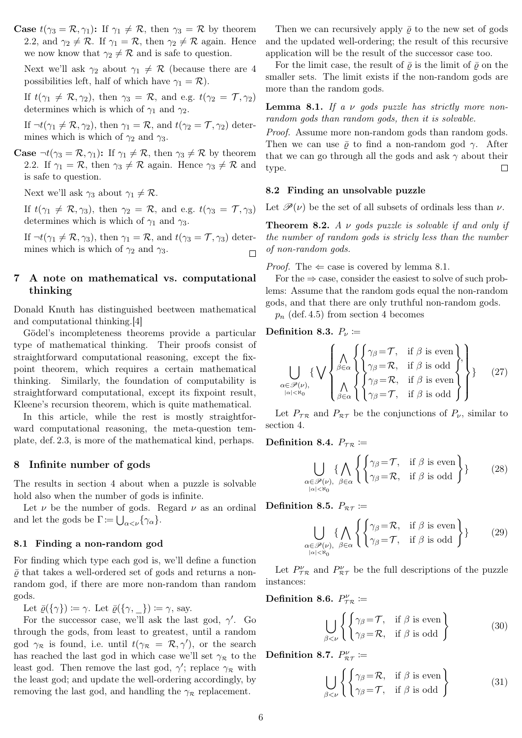**Case**  $t(\gamma_3 = \mathcal{R}, \gamma_1)$ : If  $\gamma_1 \neq \mathcal{R}$ , then  $\gamma_3 = \mathcal{R}$  by theorem [2.2,](#page-0-3) and  $\gamma_2 \neq \mathcal{R}$ . If  $\gamma_1 = \mathcal{R}$ , then  $\gamma_2 \neq \mathcal{R}$  again. Hence we now know that  $\gamma_2 \neq \mathcal{R}$  and is safe to question.

Next we'll ask  $\gamma_2$  about  $\gamma_1 \neq \mathcal{R}$  (because there are 4 possibilities left, half of which have  $\gamma_1 = \mathcal{R}$ ).

If  $t(\gamma_1 \neq \mathcal{R}, \gamma_2)$ , then  $\gamma_3 = \mathcal{R}$ , and e.g.  $t(\gamma_2 = \mathcal{T}, \gamma_2)$ determines which is which of  $\gamma_1$  and  $\gamma_2$ .

If  $\neg t(\gamma_1 \neq \mathcal{R}, \gamma_2)$ , then  $\gamma_1 = \mathcal{R}$ , and  $t(\gamma_2 = \mathcal{T}, \gamma_2)$  determines which is which of  $\gamma_2$  and  $\gamma_3$ .

**Case**  $\neg t(\gamma_3 = \mathcal{R}, \gamma_1)$ : If  $\gamma_1 \neq \mathcal{R}$ , then  $\gamma_3 \neq \mathcal{R}$  by theorem [2.2.](#page-0-3) If  $\gamma_1 = \mathcal{R}$ , then  $\gamma_3 \neq \mathcal{R}$  again. Hence  $\gamma_3 \neq \mathcal{R}$  and is safe to question.

Next we'll ask  $\gamma_3$  about  $\gamma_1 \neq \mathcal{R}$ .

If  $t(\gamma_1 \neq \mathcal{R}, \gamma_3)$ , then  $\gamma_2 = \mathcal{R}$ , and e.g.  $t(\gamma_3 = \mathcal{T}, \gamma_3)$ determines which is which of  $\gamma_1$  and  $\gamma_3$ .

If  $\neg t(\gamma_1 \neq \mathcal{R}, \gamma_3)$ , then  $\gamma_1 = \mathcal{R}$ , and  $t(\gamma_3 = \mathcal{T}, \gamma_3)$  determines which is which of  $\gamma_2$  and  $\gamma_3$ .  $\Box$ 

# 7 A note on mathematical vs. computational thinking

Donald Knuth has distinguished beetween mathematical and computational thinking.[\[4\]](#page-6-3)

Gödel's incompleteness theorems provide a particular type of mathematical thinking. Their proofs consist of straightforward computational reasoning, except the fixpoint theorem, which requires a certain mathematical thinking. Similarly, the foundation of computability is straightforward computational, except its fixpoint result, Kleene's recursion theorem, which is quite mathematical.

In this article, while the rest is mostly straightforward computational reasoning, the meta-question template, def. [2.3,](#page-0-2) is more of the mathematical kind, perhaps.

# 8 Infinite number of gods

The results in section [4](#page-1-4) about when a puzzle is solvable hold also when the number of gods is infinite.

Let  $\nu$  be the number of gods. Regard  $\nu$  as an ordinal and let the gods be  $\Gamma := \bigcup_{\alpha < \nu} {\{\gamma_{\alpha}\}}.$ 

#### 8.1 Finding a non-random god

For finding which type each god is, we'll define a function  $\bar{\rho}$  that takes a well-ordered set of gods and returns a nonrandom god, if there are more non-random than random gods.

Let  $\bar{\varrho}(\{\gamma\}) \coloneqq \gamma$ . Let  $\bar{\varrho}(\{\gamma, \cdot\}) \coloneqq \gamma$ , say.

For the successor case, we'll ask the last god,  $\gamma'$ . Go through the gods, from least to greatest, until a random god  $\gamma_{\mathcal{R}}$  is found, i.e. until  $t(\gamma_{\mathcal{R}} = \mathcal{R}, \gamma')$ , or the search has reached the last god in which case we'll set  $\gamma_R$  to the least god. Then remove the last god,  $\gamma'$ ; replace  $\gamma_R$  with the least god; and update the well-ordering accordingly, by removing the last god, and handling the  $\gamma_R$  replacement.

Then we can recursively apply  $\bar{\rho}$  to the new set of gods and the updated well-ordering; the result of this recursive application will be the result of the successor case too.

For the limit case, the result of  $\bar{\rho}$  is the limit of  $\bar{\rho}$  on the smaller sets. The limit exists if the non-random gods are more than the random gods.

<span id="page-5-0"></span>**Lemma 8.1.** If a  $\nu$  gods puzzle has strictly more nonrandom gods than random gods, then it is solvable.

Proof. Assume more non-random gods than random gods. Then we can use  $\bar{\rho}$  to find a non-random god  $\gamma$ . After that we can go through all the gods and ask  $\gamma$  about their type.  $\Box$ 

#### 8.2 Finding an unsolvable puzzle

Let  $\mathscr{P}(\nu)$  be the set of all subsets of ordinals less than  $\nu$ .

**Theorem 8.2.** A  $\nu$  gods puzzle is solvable if and only if the number of random gods is stricly less than the number of non-random gods.

*Proof.* The  $\Leftarrow$  case is covered by lemma [8.1.](#page-5-0)

For the  $\Rightarrow$  case, consider the easiest to solve of such problems: Assume that the random gods equal the non-random gods, and that there are only truthful non-random gods.

 $p_n$  (def. [4.5\)](#page-2-4) from section [4](#page-1-4) becomes

## Definition 8.3.  $P_{\nu}$  :=

<span id="page-5-1"></span>
$$
\bigcup_{\alpha \in \mathscr{P}(\nu), \atop |\alpha| < \aleph_0} \{\bigvee_{\beta \in \alpha} \left\{ \begin{cases} \gamma_\beta = \mathcal{T}, & \text{if } \beta \text{ is even} \\ \gamma_\beta = \mathcal{R}, & \text{if } \beta \text{ is odd} \\ \gamma_\beta = \mathcal{R}, & \text{if } \beta \text{ is even} \\ \gamma_\beta = \mathcal{T}, & \text{if } \beta \text{ is odd} \end{cases} \right\} \tag{27}
$$

Let  $P_{\tau \mathcal{R}}$  and  $P_{\mathcal{R} \tau}$  be the conjunctions of  $P_{\nu}$ , similar to section [4.](#page-1-4)

Definition 8.4.  $P_{\tau R} \coloneqq$ 

$$
\bigcup_{\substack{\alpha \in \mathcal{P}(\nu), \\ |\alpha| < \aleph_0}} \{\bigwedge_{\beta \in \alpha} \left\{ \begin{cases} \gamma_\beta = \mathcal{T}, & \text{if } \beta \text{ is even} \\ \gamma_\beta = \mathcal{R}, & \text{if } \beta \text{ is odd} \end{cases} \right\} \} \tag{28}
$$

Definition 8.5.  $P_{\mathcal{R}\mathcal{T}} \coloneqq$ 

$$
\bigcup_{\substack{\alpha \in \mathscr{P}(\nu), \\ |\alpha| < \aleph_0}} \{\bigwedge_{\beta \in \alpha} \left\{ \begin{cases} \gamma_\beta = \mathcal{R}, & \text{if } \beta \text{ is even} \\ \gamma_\beta = \mathcal{T}, & \text{if } \beta \text{ is odd} \end{cases} \right\} \} \tag{29}
$$

Let  $P^{\nu}_{\tau\tau}$  and  $P^{\nu}_{\pi\tau}$  be the full descriptions of the puzzle instances:

Definition 8.6.  $P^{\nu}_{\tau \mathcal{R}} \coloneqq$ 

$$
\bigcup_{\beta < \nu} \left\{ \begin{cases} \gamma_{\beta} = \mathcal{T}, & \text{if } \beta \text{ is even} \\ \gamma_{\beta} = \mathcal{R}, & \text{if } \beta \text{ is odd} \end{cases} \right\} \tag{30}
$$

Definition 8.7.  $P^{\nu}_{\mathcal{R}\mathcal{T}} \coloneqq$ 

$$
\bigcup_{\beta < \nu} \left\{ \begin{cases} \gamma_{\beta} = \mathcal{R}, & \text{if } \beta \text{ is even} \\ \gamma_{\beta} = \mathcal{T}, & \text{if } \beta \text{ is odd} \end{cases} \right\} \tag{31}
$$